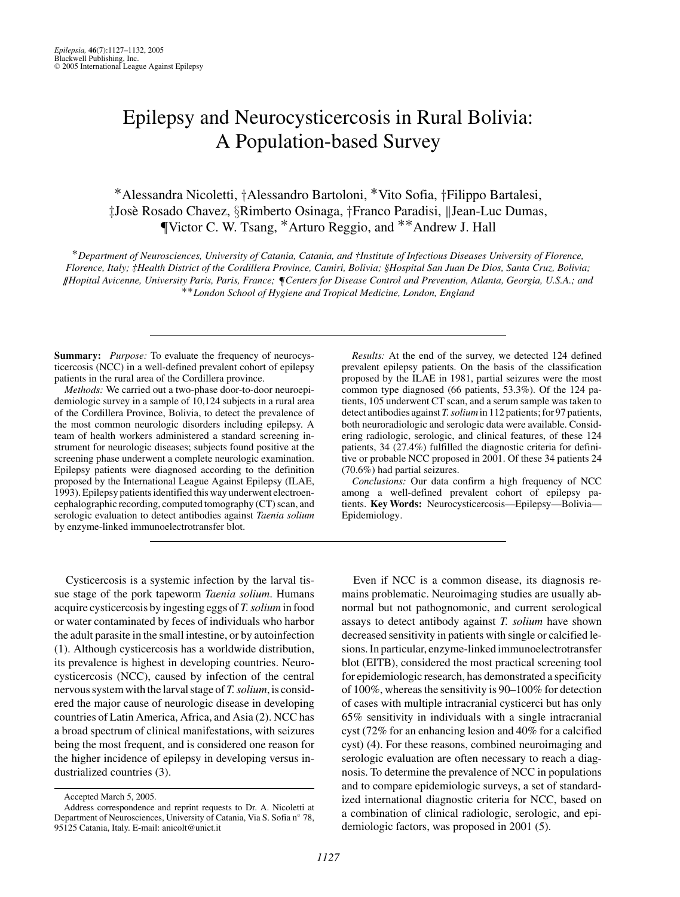# Epilepsy and Neurocysticercosis in Rural Bolivia: A Population-based Survey

# ∗Alessandra Nicoletti, †Alessandro Bartoloni, ∗Vito Sofia, †Filippo Bartalesi, ‡Jos`e Rosado Chavez, §Rimberto Osinaga, †Franco Paradisi, Jean-Luc Dumas, ¶Victor C. W. Tsang, ∗Arturo Reggio, and ∗∗Andrew J. Hall

∗*Department of Neurosciences, University of Catania, Catania, and †Institute of Infectious Diseases University of Florence, Florence, Italy; ‡Health District of the Cordillera Province, Camiri, Bolivia; §Hospital San Juan De Dios, Santa Cruz, Bolivia;* //*Hopital Avicenne, University Paris, Paris, France;* ¶*Centers for Disease Control and Prevention, Atlanta, Georgia, U.S.A.; and* ∗∗*London School of Hygiene and Tropical Medicine, London, England*

**Summary:** *Purpose:* To evaluate the frequency of neurocysticercosis (NCC) in a well-defined prevalent cohort of epilepsy patients in the rural area of the Cordillera province.

*Methods:* We carried out a two-phase door-to-door neuroepidemiologic survey in a sample of 10,124 subjects in a rural area of the Cordillera Province, Bolivia, to detect the prevalence of the most common neurologic disorders including epilepsy. A team of health workers administered a standard screening instrument for neurologic diseases; subjects found positive at the screening phase underwent a complete neurologic examination. Epilepsy patients were diagnosed according to the definition proposed by the International League Against Epilepsy (ILAE, 1993). Epilepsy patients identified this way underwent electroencephalographic recording, computed tomography (CT) scan, and serologic evaluation to detect antibodies against *Taenia solium* by enzyme-linked immunoelectrotransfer blot.

Cysticercosis is a systemic infection by the larval tissue stage of the pork tapeworm *Taenia solium*. Humans acquire cysticercosis by ingesting eggs of *T.solium* in food or water contaminated by feces of individuals who harbor the adult parasite in the small intestine, or by autoinfection (1). Although cysticercosis has a worldwide distribution, its prevalence is highest in developing countries. Neurocysticercosis (NCC), caused by infection of the central nervous system with the larval stage of *T.solium*, is considered the major cause of neurologic disease in developing countries of Latin America, Africa, and Asia (2). NCC has a broad spectrum of clinical manifestations, with seizures being the most frequent, and is considered one reason for the higher incidence of epilepsy in developing versus industrialized countries (3).

*Results:* At the end of the survey, we detected 124 defined prevalent epilepsy patients. On the basis of the classification proposed by the ILAE in 1981, partial seizures were the most common type diagnosed (66 patients, 53.3%). Of the 124 patients, 105 underwent CT scan, and a serum sample was taken to detect antibodies against *T.solium*in 112 patients; for 97 patients, both neuroradiologic and serologic data were available. Considering radiologic, serologic, and clinical features, of these 124 patients, 34 (27.4%) fulfilled the diagnostic criteria for definitive or probable NCC proposed in 2001. Of these 34 patients 24 (70.6%) had partial seizures.

*Conclusions:* Our data confirm a high frequency of NCC among a well-defined prevalent cohort of epilepsy patients. **Key Words:** Neurocysticercosis—Epilepsy—Bolivia— Epidemiology.

Even if NCC is a common disease, its diagnosis remains problematic. Neuroimaging studies are usually abnormal but not pathognomonic, and current serological assays to detect antibody against *T. solium* have shown decreased sensitivity in patients with single or calcified lesions. In particular, enzyme-linked immunoelectrotransfer blot (EITB), considered the most practical screening tool for epidemiologic research, has demonstrated a specificity of 100%, whereas the sensitivity is 90–100% for detection of cases with multiple intracranial cysticerci but has only 65% sensitivity in individuals with a single intracranial cyst (72% for an enhancing lesion and 40% for a calcified cyst) (4). For these reasons, combined neuroimaging and serologic evaluation are often necessary to reach a diagnosis. To determine the prevalence of NCC in populations and to compare epidemiologic surveys, a set of standardized international diagnostic criteria for NCC, based on a combination of clinical radiologic, serologic, and epidemiologic factors, was proposed in 2001 (5).

Accepted March 5, 2005.

Address correspondence and reprint requests to Dr. A. Nicoletti at Department of Neurosciences, University of Catania, Via S. Sofia n◦ 78, 95125 Catania, Italy. E-mail: anicolt@unict.it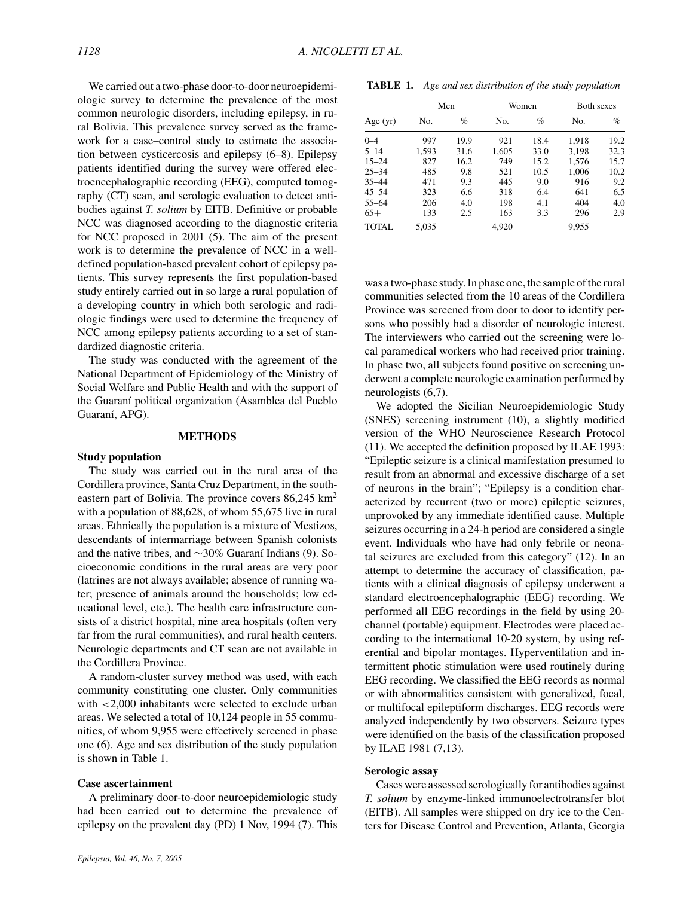We carried out a two-phase door-to-door neuroepidemiologic survey to determine the prevalence of the most common neurologic disorders, including epilepsy, in rural Bolivia. This prevalence survey served as the framework for a case–control study to estimate the association between cysticercosis and epilepsy (6–8). Epilepsy patients identified during the survey were offered electroencephalographic recording (EEG), computed tomography (CT) scan, and serologic evaluation to detect antibodies against *T. solium* by EITB. Definitive or probable NCC was diagnosed according to the diagnostic criteria for NCC proposed in 2001 (5). The aim of the present work is to determine the prevalence of NCC in a welldefined population-based prevalent cohort of epilepsy patients. This survey represents the first population-based study entirely carried out in so large a rural population of a developing country in which both serologic and radiologic findings were used to determine the frequency of NCC among epilepsy patients according to a set of standardized diagnostic criteria.

The study was conducted with the agreement of the National Department of Epidemiology of the Ministry of Social Welfare and Public Health and with the support of the Guaraní political organization (Asamblea del Pueblo Guaraní, APG).

#### **METHODS**

#### **Study population**

The study was carried out in the rural area of the Cordillera province, Santa Cruz Department, in the southeastern part of Bolivia. The province covers  $86,245 \text{ km}^2$ with a population of 88,628, of whom 55,675 live in rural areas. Ethnically the population is a mixture of Mestizos, descendants of intermarriage between Spanish colonists and the native tribes, and ∼30% Guaraní Indians (9). Socioeconomic conditions in the rural areas are very poor (latrines are not always available; absence of running water; presence of animals around the households; low educational level, etc.). The health care infrastructure consists of a district hospital, nine area hospitals (often very far from the rural communities), and rural health centers. Neurologic departments and CT scan are not available in the Cordillera Province.

A random-cluster survey method was used, with each community constituting one cluster. Only communities with <2,000 inhabitants were selected to exclude urban areas. We selected a total of 10,124 people in 55 communities, of whom 9,955 were effectively screened in phase one (6). Age and sex distribution of the study population is shown in Table 1.

# **Case ascertainment**

A preliminary door-to-door neuroepidemiologic study had been carried out to determine the prevalence of epilepsy on the prevalent day (PD) 1 Nov, 1994 (7). This

|  | <b>TABLE 1.</b> Age and sex distribution of the study population |  |  |  |  |
|--|------------------------------------------------------------------|--|--|--|--|
|--|------------------------------------------------------------------|--|--|--|--|

|            |       | Men  |       | Women | <b>Both sexes</b> |      |  |
|------------|-------|------|-------|-------|-------------------|------|--|
| Age $(yr)$ | No.   | $\%$ | No.   | $\%$  | No.               | $\%$ |  |
| $0 - 4$    | 997   | 19.9 | 921   | 18.4  | 1.918             | 19.2 |  |
| $5 - 14$   | 1.593 | 31.6 | 1.605 | 33.0  | 3,198             | 32.3 |  |
| $15 - 24$  | 827   | 16.2 | 749   | 15.2  | 1,576             | 15.7 |  |
| $25 - 34$  | 485   | 9.8  | 521   | 10.5  | 1.006             | 10.2 |  |
| $35 - 44$  | 471   | 9.3  | 445   | 9.0   | 916               | 9.2  |  |
| $45 - 54$  | 323   | 6.6  | 318   | 6.4   | 641               | 6.5  |  |
| $55 - 64$  | 206   | 4.0  | 198   | 4.1   | 404               | 4.0  |  |
| $65+$      | 133   | 2.5  | 163   | 3.3   | 296               | 2.9  |  |
| TOTAL      | 5,035 |      | 4,920 |       | 9.955             |      |  |

was a two-phase study. In phase one, the sample of the rural communities selected from the 10 areas of the Cordillera Province was screened from door to door to identify persons who possibly had a disorder of neurologic interest. The interviewers who carried out the screening were local paramedical workers who had received prior training. In phase two, all subjects found positive on screening underwent a complete neurologic examination performed by neurologists (6,7).

We adopted the Sicilian Neuroepidemiologic Study (SNES) screening instrument (10), a slightly modified version of the WHO Neuroscience Research Protocol (11). We accepted the definition proposed by ILAE 1993: "Epileptic seizure is a clinical manifestation presumed to result from an abnormal and excessive discharge of a set of neurons in the brain"; "Epilepsy is a condition characterized by recurrent (two or more) epileptic seizures, unprovoked by any immediate identified cause. Multiple seizures occurring in a 24-h period are considered a single event. Individuals who have had only febrile or neonatal seizures are excluded from this category" (12). In an attempt to determine the accuracy of classification, patients with a clinical diagnosis of epilepsy underwent a standard electroencephalographic (EEG) recording. We performed all EEG recordings in the field by using 20 channel (portable) equipment. Electrodes were placed according to the international 10-20 system, by using referential and bipolar montages. Hyperventilation and intermittent photic stimulation were used routinely during EEG recording. We classified the EEG records as normal or with abnormalities consistent with generalized, focal, or multifocal epileptiform discharges. EEG records were analyzed independently by two observers. Seizure types were identified on the basis of the classification proposed by ILAE 1981 (7,13).

# **Serologic assay**

Cases were assessed serologically for antibodies against *T. solium* by enzyme-linked immunoelectrotransfer blot (EITB). All samples were shipped on dry ice to the Centers for Disease Control and Prevention, Atlanta, Georgia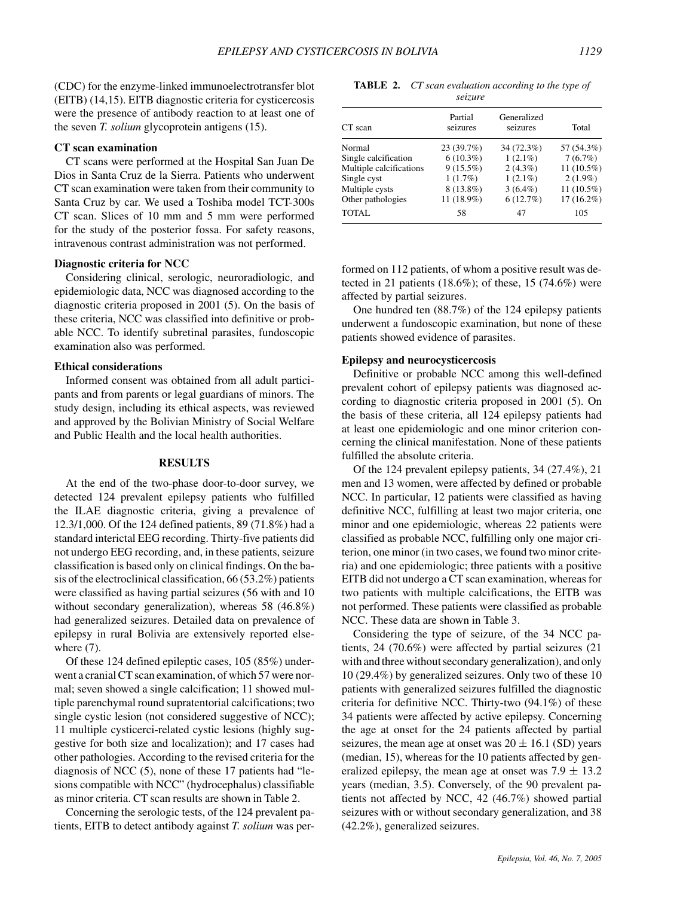(CDC) for the enzyme-linked immunoelectrotransfer blot (EITB) (14,15). EITB diagnostic criteria for cysticercosis were the presence of antibody reaction to at least one of the seven *T. solium* glycoprotein antigens (15).

#### **CT scan examination**

CT scans were performed at the Hospital San Juan De Dios in Santa Cruz de la Sierra. Patients who underwent CT scan examination were taken from their community to Santa Cruz by car. We used a Toshiba model TCT-300s CT scan. Slices of 10 mm and 5 mm were performed for the study of the posterior fossa. For safety reasons, intravenous contrast administration was not performed.

# **Diagnostic criteria for NCC**

Considering clinical, serologic, neuroradiologic, and epidemiologic data, NCC was diagnosed according to the diagnostic criteria proposed in 2001 (5). On the basis of these criteria, NCC was classified into definitive or probable NCC. To identify subretinal parasites, fundoscopic examination also was performed.

#### **Ethical considerations**

Informed consent was obtained from all adult participants and from parents or legal guardians of minors. The study design, including its ethical aspects, was reviewed and approved by the Bolivian Ministry of Social Welfare and Public Health and the local health authorities.

#### **RESULTS**

At the end of the two-phase door-to-door survey, we detected 124 prevalent epilepsy patients who fulfilled the ILAE diagnostic criteria, giving a prevalence of 12.3/1,000. Of the 124 defined patients, 89 (71.8%) had a standard interictal EEG recording. Thirty-five patients did not undergo EEG recording, and, in these patients, seizure classification is based only on clinical findings. On the basis of the electroclinical classification, 66 (53.2%) patients were classified as having partial seizures (56 with and 10 without secondary generalization), whereas 58 (46.8%) had generalized seizures. Detailed data on prevalence of epilepsy in rural Bolivia are extensively reported elsewhere  $(7)$ .

Of these 124 defined epileptic cases, 105 (85%) underwent a cranial CT scan examination, of which 57 were normal; seven showed a single calcification; 11 showed multiple parenchymal round supratentorial calcifications; two single cystic lesion (not considered suggestive of NCC); 11 multiple cysticerci-related cystic lesions (highly suggestive for both size and localization); and 17 cases had other pathologies. According to the revised criteria for the diagnosis of NCC (5), none of these 17 patients had "lesions compatible with NCC" (hydrocephalus) classifiable as minor criteria. CT scan results are shown in Table 2.

Concerning the serologic tests, of the 124 prevalent patients, EITB to detect antibody against *T. solium* was per-

**TABLE 2.** *CT scan evaluation according to the type of seizure*

| 23 (39.7%)<br>34 (72.3%)<br>57 (54.3%)<br>Normal<br>7(6.7%)<br>$6(10.3\%)$<br>$1(2.1\%)$<br>Single calcification |  |
|------------------------------------------------------------------------------------------------------------------|--|
|                                                                                                                  |  |
|                                                                                                                  |  |
| 11 (10.5%)<br>Multiple calcifications<br>$9(15.5\%)$<br>$2(4.3\%)$                                               |  |
| $2(1.9\%)$<br>$1(1.7\%)$<br>$1(2.1\%)$<br>Single cyst                                                            |  |
| 11 (10.5%)<br>$8(13.8\%)$<br>$3(6.4\%)$<br>Multiple cysts                                                        |  |
| 6(12.7%)<br>$17(16.2\%)$<br>11 (18.9%)<br>Other pathologies                                                      |  |
| TOTAL<br>105<br>58<br>47                                                                                         |  |

formed on 112 patients, of whom a positive result was detected in 21 patients  $(18.6\%)$ ; of these, 15 (74.6%) were affected by partial seizures.

One hundred ten (88.7%) of the 124 epilepsy patients underwent a fundoscopic examination, but none of these patients showed evidence of parasites.

# **Epilepsy and neurocysticercosis**

Definitive or probable NCC among this well-defined prevalent cohort of epilepsy patients was diagnosed according to diagnostic criteria proposed in 2001 (5). On the basis of these criteria, all 124 epilepsy patients had at least one epidemiologic and one minor criterion concerning the clinical manifestation. None of these patients fulfilled the absolute criteria.

Of the 124 prevalent epilepsy patients, 34 (27.4%), 21 men and 13 women, were affected by defined or probable NCC. In particular, 12 patients were classified as having definitive NCC, fulfilling at least two major criteria, one minor and one epidemiologic, whereas 22 patients were classified as probable NCC, fulfilling only one major criterion, one minor (in two cases, we found two minor criteria) and one epidemiologic; three patients with a positive EITB did not undergo a CT scan examination, whereas for two patients with multiple calcifications, the EITB was not performed. These patients were classified as probable NCC. These data are shown in Table 3.

Considering the type of seizure, of the 34 NCC patients, 24 (70.6%) were affected by partial seizures (21 with and three without secondary generalization), and only 10 (29.4%) by generalized seizures. Only two of these 10 patients with generalized seizures fulfilled the diagnostic criteria for definitive NCC. Thirty-two (94.1%) of these 34 patients were affected by active epilepsy. Concerning the age at onset for the 24 patients affected by partial seizures, the mean age at onset was  $20 \pm 16.1$  (SD) years (median, 15), whereas for the 10 patients affected by generalized epilepsy, the mean age at onset was  $7.9 \pm 13.2$ years (median, 3.5). Conversely, of the 90 prevalent patients not affected by NCC, 42 (46.7%) showed partial seizures with or without secondary generalization, and 38 (42.2%), generalized seizures.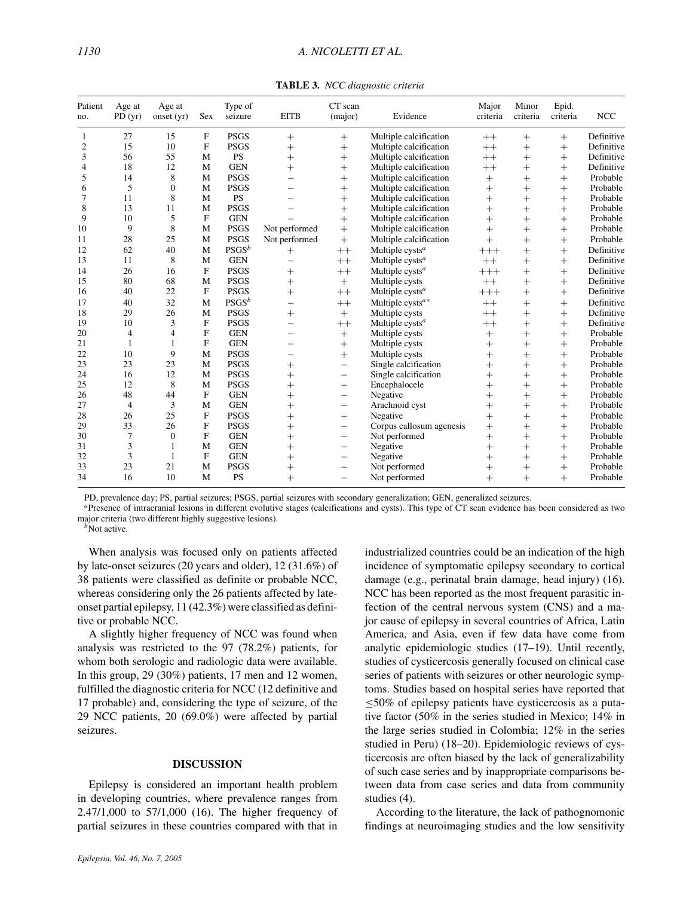# *1130 A. NICOLETTI ET AL.*

**TABLE 3.** *NCC diagnostic criteria*

| Patient<br>no. | Age at<br>PD (yr) | Age at<br>onset $(yr)$ | Sex         | Type of<br>seizure | <b>EITB</b>              | CT scan<br>(major)       | Evidence                                  | Major<br>criteria | Minor<br>criteria  | Epid.<br>criteria | <b>NCC</b> |
|----------------|-------------------|------------------------|-------------|--------------------|--------------------------|--------------------------|-------------------------------------------|-------------------|--------------------|-------------------|------------|
| 1              | 27                | 15                     | $\mathbf F$ | <b>PSGS</b>        | $^{+}$                   | $^{+}$                   | Multiple calcification                    | $++$              | $\hspace{0.1mm} +$ | $^{+}$            | Definitive |
| $\overline{2}$ | 15                | 10                     | $\mathbf F$ | <b>PSGS</b>        | $^{+}$                   | $^{+}$                   | Multiple calcification                    | $++$              | $\overline{+}$     | $^{+}$            | Definitive |
| 3              | 56                | 55                     | M           | PS                 | $\ddot{}$                | $^{+}$                   | Multiple calcification                    | $++$              | $^{+}$             | $^{+}$            | Definitive |
| 4              | 18                | 12                     | M           | <b>GEN</b>         | $\ddot{}$                | $^{+}$                   | Multiple calcification                    | $++$              | $^{+}$             | $+$               | Definitive |
| 5              | 14                | 8                      | M           | <b>PSGS</b>        |                          | $^{+}$                   | Multiple calcification                    | $^{+}$            | $\ddag$            | $^{+}$            | Probable   |
| 6              | 5                 | $\overline{0}$         | M           | <b>PSGS</b>        | $\overline{\phantom{0}}$ | $^{+}$                   | Multiple calcification                    | $^{+}$            | $\overline{+}$     | $^{+}$            | Probable   |
| 7              | 11                | 8                      | M           | <b>PS</b>          |                          | $^{+}$                   | Multiple calcification                    | $^{+}$            | $^{+}$             | $^{+}$            | Probable   |
| 8              | 13                | 11                     | M           | <b>PSGS</b>        |                          | $^{+}$                   | Multiple calcification                    | $^{+}$            | $\overline{+}$     | $+$               | Probable   |
| 9              | 10                | 5                      | F           | <b>GEN</b>         |                          | $\overline{+}$           | Multiple calcification                    | $^{+}$            | $\overline{+}$     | $^{+}$            | Probable   |
| 10             | 9                 | 8                      | M           | <b>PSGS</b>        | Not performed            | $^{+}$                   | Multiple calcification                    | $^{+}$            | $^{+}$             | $+$               | Probable   |
| 11             | 28                | 25                     | M           | <b>PSGS</b>        | Not performed            | $^{+}$                   | Multiple calcification                    | $^{+}$            | $^{+}$             | $^{+}$            | Probable   |
| 12             | 62                | 40                     | M           | $PSGS^b$           | $+$                      | $^{++}$                  | Multiple $cysts^a$                        | $+++$             | $^{+}$             | $^{+}$            | Definitive |
| 13             | 11                | 8                      | M           | <b>GEN</b>         | $\qquad \qquad -$        | $++$                     | Multiple $cysts^a$                        | $++$              | $^{+}$             | $+$               | Definitive |
| 14             | 26                | 16                     | F           | <b>PSGS</b>        | $^{+}$                   | $++$                     | Multiple $cysts^a$                        | $+++$             | $^{+}$             | $^{+}$            | Definitive |
| 15             | 80                | 68                     | M           | <b>PSGS</b>        | $^{+}$                   | $^{+}$                   | Multiple cysts                            | $++$              | $^{+}$             | $+$               | Definitive |
| 16             | 40                | 22                     | F           | <b>PSGS</b>        | $+$                      | $++$                     | Multiple $cysts^a$                        | $+++$             | $^{+}$             | $^{+}$            | Definitive |
| 17             | 40                | 32                     | M           | $PSGS^b$           |                          | $^{++}$                  | Multiple cysts <sup><math>a*</math></sup> | $++$              | $\overline{+}$     | $^{+}$            | Definitive |
| 18             | 29                | 26                     | M           | <b>PSGS</b>        | $^{+}$                   | $^{+}$                   | Multiple cysts                            | $++$              | $^{+}$             | $^{+}$            | Definitive |
| 19             | 10                | 3                      | F           | <b>PSGS</b>        | $\overline{\phantom{0}}$ | $^{++}$                  | Multiple cysts <sup>a</sup>               | $++$              | $^{+}$             | $^{+}$            | Definitive |
| 20             | $\overline{4}$    | $\overline{4}$         | F           | <b>GEN</b>         | $\overline{\phantom{0}}$ | $^{+}$                   | Multiple cysts                            | $^{+}$            | $+$                | $+$               | Probable   |
| 21             | $\mathbf{1}$      | 1                      | F           | <b>GEN</b>         |                          | $^{+}$                   | Multiple cysts                            | $^{+}$            | $\overline{+}$     | $^{+}$            | Probable   |
| 22             | 10                | 9                      | M           | <b>PSGS</b>        |                          | $^{+}$                   | Multiple cysts                            | $^{+}$            | $^{+}$             | $^{+}$            | Probable   |
| 23             | 23                | 23                     | M           | <b>PSGS</b>        | $^{+}$                   |                          | Single calcification                      | $^{+}$            | $\ddot{}$          | $^{+}$            | Probable   |
| 24             | 16                | 12                     | M           | <b>PSGS</b>        | $^{+}$                   |                          | Single calcification                      | $^{+}$            | $^{+}$             | $^{+}$            | Probable   |
| 25             | 12                | 8                      | M           | <b>PSGS</b>        | $\ddot{}$                |                          | Encephalocele                             | $^{+}$            | $^{+}$             | $^{+}$            | Probable   |
| 26             | 48                | 44                     | F           | <b>GEN</b>         | $^{+}$                   |                          | Negative                                  | $^{+}$            | $^{+}$             | $^{+}$            | Probable   |
| 27             | $\overline{4}$    | 3                      | M           | <b>GEN</b>         | $\ddot{}$                | —                        | Arachnoid cyst                            | $^{+}$            | $\overline{+}$     | $+$               | Probable   |
| 28             | 26                | 25                     | F           | <b>PSGS</b>        | $^{+}$                   |                          | Negative                                  | $^{+}$            | $^{+}$             | $^{+}$            | Probable   |
| 29             | 33                | 26                     | F           | <b>PSGS</b>        | $^{+}$                   | $\overline{\phantom{0}}$ | Corpus callosum agenesis                  | $^{+}$            | $^{+}$             | $^{+}$            | Probable   |
| 30             | $\overline{7}$    | $\overline{0}$         | F           | <b>GEN</b>         | $\ddot{}$                | $\overline{\phantom{0}}$ | Not performed                             | $^{+}$            | $^{+}$             | $^{+}$            | Probable   |
| 31             | 3                 | 1                      | M           | <b>GEN</b>         | $\ddot{}$                | —                        | Negative                                  | $^{+}$            | $\overline{+}$     | $^{+}$            | Probable   |
| 32             | 3                 | 1                      | $\mathbf F$ | <b>GEN</b>         | $\ddot{}$                | —                        | Negative                                  | $^{+}$            | $^{+}$             | $+$               | Probable   |
| 33             | 23                | 21                     | M           | <b>PSGS</b>        | $^{+}$                   |                          | Not performed                             | $^{+}$            | $^{+}$             | $^{+}$            | Probable   |
| 34             | 16                | 10                     | M           | <b>PS</b>          | $^{+}$                   |                          | Not performed                             | $^{+}$            | $+$                | $+$               | Probable   |

PD, prevalence day; PS, partial seizures; PSGS, partial seizures with secondary generalization; GEN, generalized seizures.

*<sup>a</sup>*Presence of intracranial lesions in different evolutive stages (calcifications and cysts). This type of CT scan evidence has been considered as two major criteria (two different highly suggestive lesions).

*b*Not active.

When analysis was focused only on patients affected by late-onset seizures (20 years and older), 12 (31.6%) of 38 patients were classified as definite or probable NCC, whereas considering only the 26 patients affected by lateonset partial epilepsy, 11 (42.3%) were classified as definitive or probable NCC.

A slightly higher frequency of NCC was found when analysis was restricted to the 97 (78.2%) patients, for whom both serologic and radiologic data were available. In this group, 29 (30%) patients, 17 men and 12 women, fulfilled the diagnostic criteria for NCC (12 definitive and 17 probable) and, considering the type of seizure, of the 29 NCC patients, 20 (69.0%) were affected by partial seizures.

### **DISCUSSION**

Epilepsy is considered an important health problem in developing countries, where prevalence ranges from 2.47/1,000 to 57/1,000 (16). The higher frequency of partial seizures in these countries compared with that in

industrialized countries could be an indication of the high incidence of symptomatic epilepsy secondary to cortical damage (e.g., perinatal brain damage, head injury) (16). NCC has been reported as the most frequent parasitic infection of the central nervous system (CNS) and a major cause of epilepsy in several countries of Africa, Latin America, and Asia, even if few data have come from analytic epidemiologic studies (17–19). Until recently, studies of cysticercosis generally focused on clinical case series of patients with seizures or other neurologic symptoms. Studies based on hospital series have reported that ≤50% of epilepsy patients have cysticercosis as a putative factor (50% in the series studied in Mexico; 14% in the large series studied in Colombia; 12% in the series studied in Peru) (18–20). Epidemiologic reviews of cysticercosis are often biased by the lack of generalizability of such case series and by inappropriate comparisons between data from case series and data from community studies (4).

According to the literature, the lack of pathognomonic findings at neuroimaging studies and the low sensitivity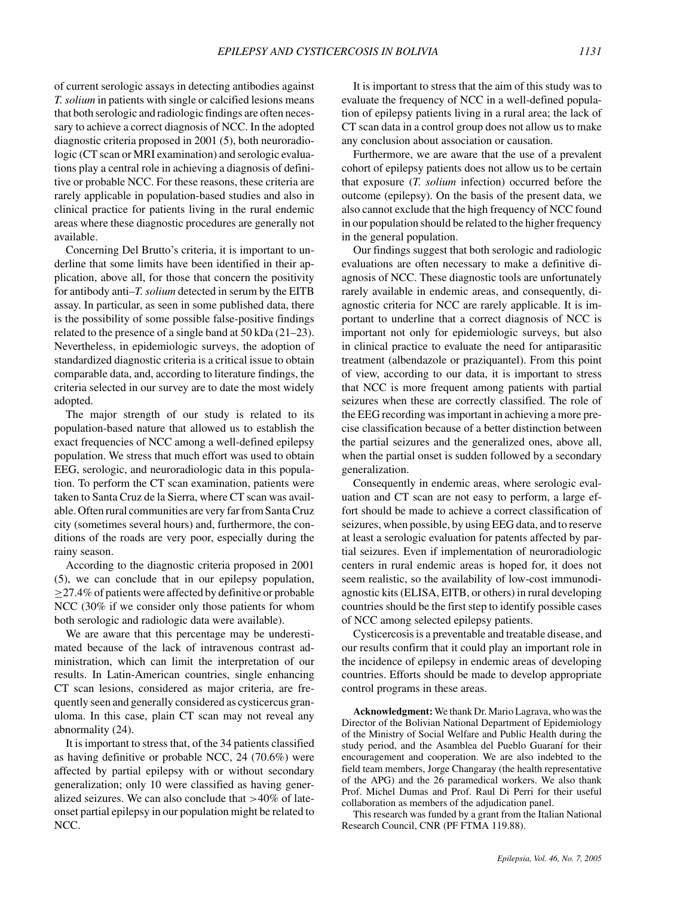of current serologic assays in detecting antibodies against *T. solium* in patients with single or calcified lesions means that both serologic and radiologic findings are often necessary to achieve a correct diagnosis of NCC. In the adopted diagnostic criteria proposed in 2001 (5), both neuroradiologic (CT scan or MRI examination) and serologic evaluations play a central role in achieving a diagnosis of definitive or probable NCC. For these reasons, these criteria are rarely applicable in population-based studies and also in clinical practice for patients living in the rural endemic areas where these diagnostic procedures are generally not available.

Concerning Del Brutto's criteria, it is important to underline that some limits have been identified in their application, above all, for those that concern the positivity for antibody anti–*T. solium* detected in serum by the EITB assay. In particular, as seen in some published data, there is the possibility of some possible false-positive findings related to the presence of a single band at 50 kDa (21–23). Nevertheless, in epidemiologic surveys, the adoption of standardized diagnostic criteria is a critical issue to obtain comparable data, and, according to literature findings, the criteria selected in our survey are to date the most widely adopted.

The major strength of our study is related to its population-based nature that allowed us to establish the exact frequencies of NCC among a well-defined epilepsy population. We stress that much effort was used to obtain EEG, serologic, and neuroradiologic data in this population. To perform the CT scan examination, patients were taken to Santa Cruz de la Sierra, where CT scan was available. Often rural communities are very far from Santa Cruz city (sometimes several hours) and, furthermore, the conditions of the roads are very poor, especially during the rainy season.

According to the diagnostic criteria proposed in 2001 (5), we can conclude that in our epilepsy population, ≥27.4% of patients were affected by definitive or probable NCC (30% if we consider only those patients for whom both serologic and radiologic data were available).

We are aware that this percentage may be underestimated because of the lack of intravenous contrast administration, which can limit the interpretation of our results. In Latin-American countries, single enhancing CT scan lesions, considered as major criteria, are frequently seen and generally considered as cysticercus granuloma. In this case, plain CT scan may not reveal any abnormality (24).

It is important to stress that, of the 34 patients classified as having definitive or probable NCC, 24 (70.6%) were affected by partial epilepsy with or without secondary generalization; only 10 were classified as having generalized seizures. We can also conclude that  $>40\%$  of lateonset partial epilepsy in our population might be related to NCC.

It is important to stress that the aim of this study was to evaluate the frequency of NCC in a well-defined population of epilepsy patients living in a rural area; the lack of CT scan data in a control group does not allow us to make any conclusion about association or causation.

Furthermore, we are aware that the use of a prevalent cohort of epilepsy patients does not allow us to be certain that exposure (*T. solium* infection) occurred before the outcome (epilepsy). On the basis of the present data, we also cannot exclude that the high frequency of NCC found in our population should be related to the higher frequency in the general population.

Our findings suggest that both serologic and radiologic evaluations are often necessary to make a definitive diagnosis of NCC. These diagnostic tools are unfortunately rarely available in endemic areas, and consequently, diagnostic criteria for NCC are rarely applicable. It is important to underline that a correct diagnosis of NCC is important not only for epidemiologic surveys, but also in clinical practice to evaluate the need for antiparasitic treatment (albendazole or praziquantel). From this point of view, according to our data, it is important to stress that NCC is more frequent among patients with partial seizures when these are correctly classified. The role of the EEG recording was important in achieving a more precise classification because of a better distinction between the partial seizures and the generalized ones, above all, when the partial onset is sudden followed by a secondary generalization.

Consequently in endemic areas, where serologic evaluation and CT scan are not easy to perform, a large effort should be made to achieve a correct classification of seizures, when possible, by using EEG data, and to reserve at least a serologic evaluation for patents affected by partial seizures. Even if implementation of neuroradiologic centers in rural endemic areas is hoped for, it does not seem realistic, so the availability of low-cost immunodiagnostic kits (ELISA, EITB, or others) in rural developing countries should be the first step to identify possible cases of NCC among selected epilepsy patients.

Cysticercosis is a preventable and treatable disease, and our results confirm that it could play an important role in the incidence of epilepsy in endemic areas of developing countries. Efforts should be made to develop appropriate control programs in these areas.

**Acknowledgment:** We thank Dr. Mario Lagrava, who was the Director of the Bolivian National Department of Epidemiology of the Ministry of Social Welfare and Public Health during the study period, and the Asamblea del Pueblo Guaraní for their encouragement and cooperation. We are also indebted to the field team members, Jorge Changaray (the health representative of the APG) and the 26 paramedical workers. We also thank Prof. Michel Dumas and Prof. Raul Di Perri for their useful collaboration as members of the adjudication panel.

This research was funded by a grant from the Italian National Research Council, CNR (PF FTMA 119.88).